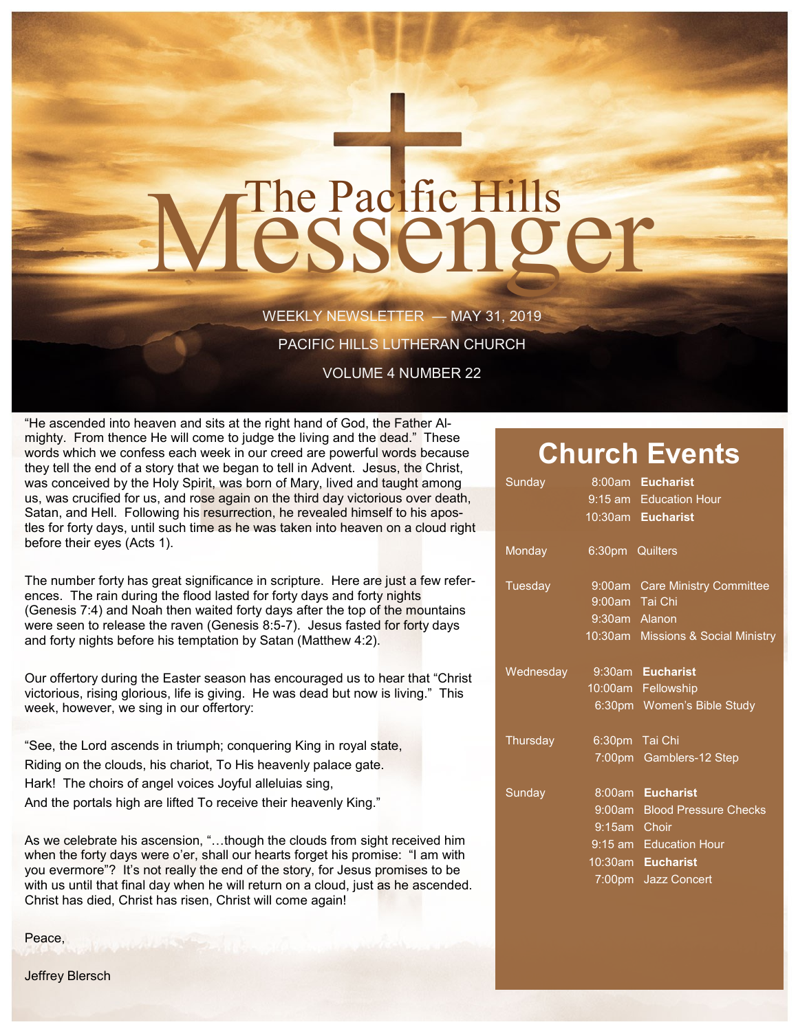# The Pacific Hills<br>CSSCNOCT

WEEKLY NEWSLETTER — MAY 31, 2019

PACIFIC HILLS LUTHERAN CHURCH

VOLUME 4 NUMBER 22

"He ascended into heaven and sits at the right hand of God, the Father Almighty. From thence He will come to judge the living and the dead." These words which we confess each week in our creed are powerful words because they tell the end of a story that we began to tell in Advent. Jesus, the Christ, was conceived by the Holy Spirit, was born of Mary, lived and taught among us, was crucified for us, and rose again on the third day victorious over death, Satan, and Hell. Following his resurrection, he revealed himself to his apostles for forty days, until such time as he was taken into heaven on a cloud right before their eyes (Acts 1).

The number forty has great significance in scripture. Here are just a few references. The rain during the flood lasted for forty days and forty nights (Genesis 7:4) and Noah then waited forty days after the top of the mountains were seen to release the raven (Genesis 8:5-7). Jesus fasted for forty days and forty nights before his temptation by Satan (Matthew 4:2).

Our offertory during the Easter season has encouraged us to hear that "Christ victorious, rising glorious, life is giving. He was dead but now is living." This week, however, we sing in our offertory:

"See, the Lord ascends in triumph; conquering King in royal state, Riding on the clouds, his chariot, To His heavenly palace gate. Hark! The choirs of angel voices Joyful alleluias sing, And the portals high are lifted To receive their heavenly King."

As we celebrate his ascension, "…though the clouds from sight received him when the forty days were o'er, shall our hearts forget his promise: "I am with you evermore"? It's not really the end of the story, for Jesus promises to be with us until that final day when he will return on a cloud, just as he ascended. Christ has died, Christ has risen, Christ will come again!

Peace,

# **Church Events**

| Sunday         |                 | 8:00am Eucharist                   |
|----------------|-----------------|------------------------------------|
|                |                 | 9:15 am Education Hour             |
|                |                 | 10:30am Eucharist                  |
| Monday         | 6:30pm Quilters |                                    |
| <b>Tuesday</b> |                 | 9:00am Care Ministry Committee     |
|                | 9:00am Tai Chi  |                                    |
|                | 9:30am Alanon   |                                    |
|                |                 | 10:30am Missions & Social Ministry |
| Wednesday      |                 | 9:30am Eucharist                   |
|                |                 | 10:00am Fellowship                 |
|                |                 | 6:30pm Women's Bible Study         |
| Thursday       |                 | 6:30pm Tai Chi                     |
|                |                 | 7:00pm Gamblers-12 Step            |
| Sunday         |                 | 8:00am Eucharist                   |
|                |                 | 9:00am Blood Pressure Checks       |
|                | 9:15am Choir    |                                    |
|                |                 | 9:15 am Education Hour             |
|                |                 | 10:30am Eucharist                  |
|                |                 | 7:00pm Jazz Concert                |

Jeffrey Blersch